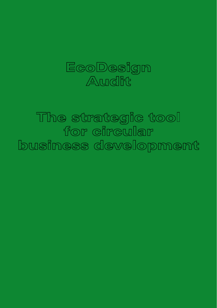

The strategic tool for circular business development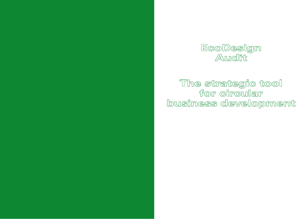## EcoDesign Audit

The strategic tool for circular business development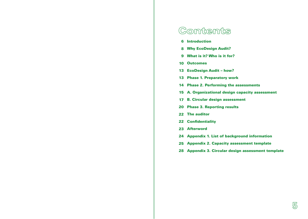## Contents

- [Introduction](#page-3-0)
- [Why EcoDesign Audit?](#page-4-0)
- [What is it? Who is it for?](#page-4-0)
- [Outcomes](#page-5-0)
- 13 EcoDesign Audit how?
- [Phase 1. Preparatory work](#page-6-0)
- [Phase 2. Performing the assessments](#page-7-0)
- [A. Organizational design capacity assessment](#page-7-0)
- [B. Circular design assessment](#page-8-0)
- [Phase 3. Reporting results](#page-10-0)
- [The auditor](#page-11-0)
- [Confidentiality](#page-11-0)
- [Afterword](#page-11-0)
- [Appendix 1. List of background information](#page-12-0)
- [Appendix 2. Capacity assessment template](#page-12-0)
- [Appendix 3. Circular design assessment template](#page-14-0)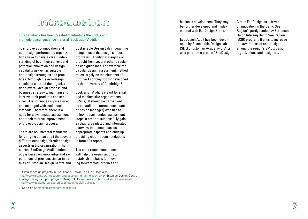# Introduction

<span id="page-3-0"></span>This handbook has been created to introduce the EcoDesign methodological guidance material (EcoDesign Audit).

To improve eco-innovation and eco-design performance organizations have to have a clear understanding of both their current and potential innovation and design capability as well as suitable eco-design strategies and practices. Although the eco-design should be a part of the organization's overall design process and business strategy to maintain and improve their products and services, it is still not easily measured and managed with traditional methods. Therefore, there is a need for a systematic assessment approach to drive improvement of the eco-design process.

There are no universal standards for carrying out an audit that covers different ecodesign/circular design aspects in the organization. The current EcoDesign Audit methodology is based on knowledge and experiences of previous similar initiatives of Estonian Design Centre and Sustainable Design Lab in coaching companies in the design support programs.1 Additional insight was brought from several other circular design guidelines. For example the circular design assessment method relies largely on the elements of Circular Economy Toolkit developed by the University of Cambridge.<sup>2</sup>

EcoDesign Audit is meant for small and medium size organizations (SMEs). It should be carried out by an auditor (external consultant or design manager) who has to follow recommended assessment steps in order to successfully gain a reliable, validated and integrated overview that encompasses the appropriate aspects and ends up providing clear recommendations in form of a report.

The audit recommendations will help the organizations to establish the basis for moving forward with product and

1 Circular design projects in Sustainable Design Lab (EKA) (see also [http://www.artun.ee/en/research-and-development/innolabs/news/\)](http://www.artun.ee/en/research-and-development/innolabs/news/) Estonian Design Centre strategic design support program Design Bulldozer (see also<https://disainikeskus.ee/et>, [http://www.designforeurope.eu/case-study/design-bulldozer\)](http://www.designforeurope.eu/case-study/design-bulldozer)

2 See also <http://circulareconomytoolkit.org>

ஜ

business development. They may be further developed and implemented with EcoDesign Sprint.

EcoDesign Audit has been developed by Sustainable Design Lab (SDL) of Estonian Academy of Arts as a part of the project "EcoDesign

Circle: EcoDesign as a driver of innovation in the Baltic Sea Region", partly funded by European Union Interreg Baltic Sea Region (BSR) program. It aims to increase the awareness of eco-design among the region's SMEs, design organizations and designers.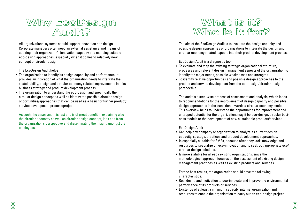# <span id="page-4-0"></span>Why EcoDesign  $\triangle$ wdfft?

All organizational systems should support innovation and design. Corporate managers often need an external assistance and means of auditing their organization's innovation capacity and mapping suitable eco-design approaches, especially when it comes to relatively new concept of circular design.

The EcoDesign Audit helps

- The organization to identify its design capability and performance. It provides an indication of what the organization needs to integrate the sustainability, design and circular economy related improvements into its business strategy and product development process.
- The organization to understand the eco-design and specifically the circular design concept as well as identify the possible circular design opportunities/approaches that can be used as a basis for further product/ service development process/project.

As such, the assessment is fast and is of great benefit in explaining also the circular economy as well as circular design concept, look at it from the organization's perspective and disseminating the insight amongst the employees.

# What is it? WWho is it for?

The aim of the EcoDesign Audit is to evaluate the design capacity and possible design approaches of organizations to integrate the design and circular economy related aspects into their product development process.

EcoDesign Audit is a diagnostic tool

- 1. To evaluate and map the existing strategy, organizational structure, processes and relevant design management aspects of the organization to identify the major needs, possible weaknesses and strengths.
- 2. To identify relative opportunities and possible design approaches to the product and service development from the eco-design/circular design perspective.

The audit is a step-wise process of assessment and analysis, which leads to recommendations for the improvement of design capacity and possible design approaches in the transition towards a circular economy model. This overview helps to understand the opportunities for improvement and untapped potential for the organization, may it be eco-design, circular business models or the development of new sustainable products/services.

EcoDesign Audit

- Can help any company or organization to analyze its current design capacity, strategy, practices and product development approaches.
- Is especially suitable for SMEs, because often they lack knowledge and resources to specialize on eco-innovation and to seek out appropriate eco/ circular design solutions.
- Is more suitable for already existing organizations, since the methodological approach focuses on the assessment of existing design management practices as well as existing products and services.

For the best results, the organization should have the following characteristics:

- Real desire and motivation to eco-innovate and improve the environmental performance of its products or services.
- Existence of at least a minimum capacity, internal organisation and resources to enable the organisation to carry out an eco-design project.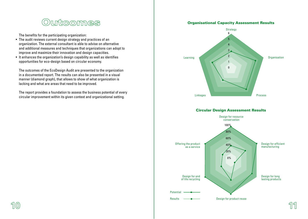### Outcomes

<span id="page-5-0"></span>The benefits for the participating organization:

- The audit reviews current design strategy and practices of an organization. The external consultant is able to advise on alternative and additional measures and techniques that organizations can adopt to improve and maximize their innovation and design capacities.
- It enhances the organization's design capability as well as identifies opportunities for eco-design based on circular economy.

The outcomes of the EcoDesign Audit are presented to the organization in a documented report. The results can also be presented in a visual manner (diamond graph), that allows to show of what organization is lacking and what are areas that need to be improved.

The report provides a foundation to assess the business potential of every circular improvement within its given context and organizational setting.

### Organisational Capacity Assessment Results

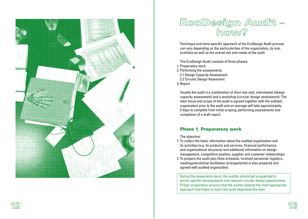<span id="page-6-0"></span>

## EcoDesign Audit how?

Technique and more specific approach of the EcoDesign Audit process can vary depending on the particularities of the organization, its size, activities as well as the overall aim and needs of the audit.

The EcoDesign Audit consists of three phases:

- 1. Preparatory work
- 2. Performing the assessments
- 2.1 Design Capacity Assessment
- 2.2 Circular Design Assesment
- 3. Report

Usually the audit is a combination of short site visit, interview(s) (design capacity assessment) and a workshop (circular design assessment). The main focus and scope of the audit is agreed together with the audited organization prior to the audit and on average will take approximately 5 days to complete from initial scoping, performing assessments and completion of a draft report.

### Phase 1. Preparatory work

The objective:

- 1. To collect the basic information about the audited organization and its activities (e.g. its products and services, financial performance and organizational structure) and additional information on design management, competitive position, supplier and customer relationships.
- 2. To prepare the audit plan (time schedule, involved personnel, logistics, meetings/workshop facilitation arrangements) is also prepared and agreed with audited organization.

During the preparatory work, the auditor should get acquainted to sector specific developments and relevant circular design opportunities. Proper preparation ensures that the auditor selects the most appropriate approach that helps to reach the audit objectives the best.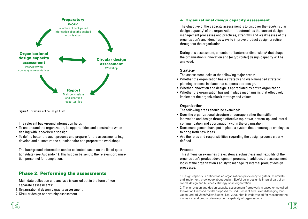<span id="page-7-0"></span>

**Figure 1.** Structure of EcoDesign Audit

The relevant background information helps

- To understand the organization, its opportunities and constraints when dealing with (eco/circular)design.
- To define better the audit process and prepare for the assessments (e.g. develop and customize the questionnaire and prepare the workshop).

The background information can be collected based on the list of questions/data (see Appendix 1). This list can be sent to the relevant organization personnel for completion.

### Phase 2. Performing the assessments

Main data collection and analysis is carried out in the form of two separate assessments:

- 1. Organizational design capacity assessment
- 2. Circular design opportunity assessment

#### A. Organizational design capacity assessment

The objective of the capacity assessment is to discover the (eco/circular)  $\gamma$  design capacity<sup>1</sup> of the organization – it determines the current design management processes and practices, strengths and weaknesses of the organization's and identifies ways to improve product design practice throughout the organization.

During this assessment, a number of factors or dimensions<sup>2</sup> that shape the organization's innovation and (eco/circular) design capacity will be analyzed:

#### **Strategy**

The assessment looks at the following major areas:

- Whether the organization has a strategy and well-managed strategic planning process in place that supports eco-design.
- Whether innovation and design is appreciated by entire organization.
- Whether the organization has put in place mechanisms that effectively implement the organization's strategy and values.

#### **Organization**

The following areas should be examined:

- Does the organizational structure encourage, rather than stifle, innovation and design through effective top-down, bottom-up, and lateral communication and coordination within the organization.
- Does management have put in place a system that encourages employees to bring forth new ideas.
- Are the roles and responsibilities regarding the design process clearly defined.

#### **Process**

This dimension examines the existence, robustness and flexibility of the organization's product development process. In addition, the assessment looks at the organization's ability to manage its internal product design processes.

1 Design capacity is defined as an organization's proficiency to gather, assimilate and implement knowledge about design. Eco/circular design is integral part of an overall design and business strategy of an organization.

2 The innovation and design capacity assessment framework is based on so-called Innovation Diamond model proposed by Tidd, Bessant and Pavitt (Managing Innovation. 3rd ed. John Wiley & sons, Ltd, 2005) that is widely used for measuring the innovation and product development capability of organisations.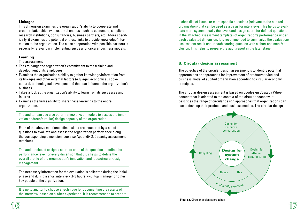#### <span id="page-8-0"></span>**Linkages**

This dimension examines the organization's ability to cooperate and create relationships with external entities (such us customers, suppliers, research institutions, consultancies, business partners, etc). More specifically, it examines the potential of these links to provide knowledge/information to the organization. The close cooperation with possible partners is especially relevant in implementing successful circular business models.

#### **Learning**

The assessment:

- Tries to gauge the organization's commitment to the training and development of its employees.
- Examines the organization's ability to gather knowledge/information from its linkages and other external factors (e.g legal, economical, sociocultural, technological developments) that can influence the organization's business.
- Takes a look at the organization's ability to learn from its successes and failures.
- Examines the firm's ability to share these learnings to the entire organization.

The auditor can use also other frameworks or models to assess the innovation and(eco/circular) design capacity of the organization.

Each of the above mentioned dimensions are measured by a set of questions to evaluate and assess the organization performance along the corresponding dimension (see also Appendix 2. Capacity assessment template).

The auditor should assign a score to each of the question to define the performance level for every dimension that thus helps to define the overall profile of the organization's innovation and (eco/circular)design management.

The necessary information for the evaluation is collected during the initial phase and during a short interview (1-3 hours) with top manager or other key people of the organization.

It is up to auditor to choose a technique for documenting the results of the interview, based on his/her experience. It is recommended to prepare a checklist of issues or more specific questions (relevant to the audited organization) that can be used as a basis for interviews. This helps to evaluate more systematically the level (and assign score for defined questions in the attached assessment template) of organization's performance under each evaluated dimension. It is recommended to summarize the evaluation/ assessment result under each scoring question with a short comment/conclusion. This helps to prepare the audit report in the later stage.

#### B. Circular design assessment

The objective of the circular design assessment is to identify potential opportunities or approaches for improvement of product/service and business model of audited organization according to circular economy principles.

The circular design assessment is based on Ecodesign Strategy Wheel concept that is adapted to the context of the circular economy. It describes the range of circular design approaches that organizations can use to develop their products and business models. The circular design

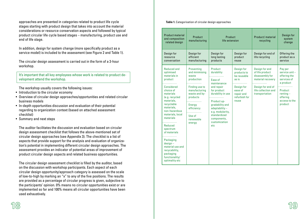approaches are presented in categories related to product life cycle stages starting with product design that takes into account the material considerations or resource conservation aspects and followed by typical product circular life cycle based stages – manufacturing, product use and end of life stage.

In addition, design for system change (more specifically product as a service model) is included to the assessment (see Figure 2 and Table 1).

The circular design assessment is carried out in the form of a 3-hour workshop.

It's important that all key employees whose work is related to product development attend the workshop.

The workshop usually covers the following issues:

- Introduction to the circular economy
- Overview of circular design approaches/opportunities and related circular business models
- In-depth opportunities discussion and evaluation of their potential regarding to organization context (based on attached assessment checklist)
- Summary and next steps

The auditor facilitates the discussion and evaluation based on circular design assessment checklist that follows the above-mentioned set of circular design approaches (see Appendix 3). The checklist is a list of aspects that provide support for the analysis and evaluation of organization's potential in implementing different circular design approaches. The assessment provides an indicator of potential areas of improvement of product circular design aspects and related business opportunities.

The circular design assessment checklist is filled by the auditor, based on the discussion with workshop participants. Each aspect of each circular design opportunity/approach category is assessed on the scale of low-to-high by marking an "x" to any of the five positions. The results are provided as a percentage of circular progress is given, subjective to the participants' opinion. 0% means no circular opportunities exist or are implemented so far and 100% means all circular opportunities have been used exhaustively.

#### **Table 1.** Categorisation of circular design approaches

| <b>Product material</b><br>and composition<br>related design                                                  | Product<br>manufacturing                                                                                                                                                                                                                      | Product<br>life extension                                     |                                                            | Product/material<br>recycling                                             | Design for<br>system<br>change                                          |
|---------------------------------------------------------------------------------------------------------------|-----------------------------------------------------------------------------------------------------------------------------------------------------------------------------------------------------------------------------------------------|---------------------------------------------------------------|------------------------------------------------------------|---------------------------------------------------------------------------|-------------------------------------------------------------------------|
| Design for<br>resource<br>conversation                                                                        | Design for<br>efficient<br>manufacturing                                                                                                                                                                                                      | Design for<br>long lasting<br>products                        | Design for<br>product<br>reuse                             | Design for end of<br>life recycling                                       | Offering the<br>product as a<br>service                                 |
| <b>Reduced and</b><br>optimised<br>materials in<br>product                                                    | Preventing<br>and minimising<br>waste<br>production                                                                                                                                                                                           | Product<br>durability<br>Fase of                              | Design for<br>products to<br>be reusable<br>as is          | Design for end<br>of life product<br>disassembly for<br>material recovery | Pay per<br>service $unit -$<br>offering the<br>services of<br>a product |
| Considered<br>choice of<br>materials<br>(e.g. recycled<br>materials,                                          | maintenance<br><b>Finding use to</b><br>and repair<br>manufacturing<br>for product<br>waste and by-<br>durability in use<br>products<br>Product up-<br>gradability and<br><b>Energy</b><br>efficiency<br>$adaptability -$<br>e.g. modularity, | Design for<br>ease of<br>repair and<br>refurbish for<br>reuse | Design for end of<br>life collection and<br>transportation | Product<br>$renting -$<br>offerina<br>access to the                       |                                                                         |
| recyclable<br>materials.<br>non-hazardous                                                                     |                                                                                                                                                                                                                                               |                                                               |                                                            |                                                                           | product                                                                 |
| materials, local<br>materials<br><b>Reduced</b><br>spectrum<br>of materials                                   | Use of<br>renewable<br>energy                                                                                                                                                                                                                 | standardized<br>components,<br>customization<br>etc           |                                                            |                                                                           |                                                                         |
| Packaging<br>$design -$<br>material use and<br>recycability,<br>packaging<br>functionality/<br>optimality etc |                                                                                                                                                                                                                                               |                                                               |                                                            |                                                                           |                                                                         |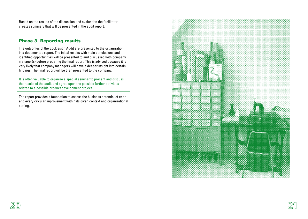<span id="page-10-0"></span>Based on the results of the discussion and evaluation the facilitator creates summary that will be presented in the audit report.

### Phase 3. Reporting results

The outcomes of the EcoDesign Audit are presented to the organization in a documented report. The initial results with main conclusions and identified opportunities will be presented to and discussed with company manager(s) before preparing the final report. This is advised because it is very likely that company managers will have a deeper insight into certain findings. The final report will be then presented to the company.

It is often valuable to organize a special seminar to present and discuss the results of the audit and agree upon the possible further activities related to a possible product development project.

The report provides a foundation to assess the business potential of each and every circular improvement within its given context and organizational setting.

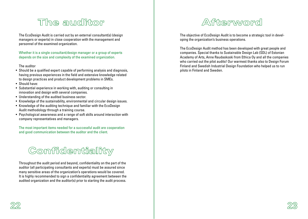# The auditor

<span id="page-11-0"></span>The EcoDesign Audit is carried out by an external consultant(s) (design managers or experts) in close cooperation with the management and personnel of the examined organization.

Whether it is a single consultant/design manager or a group of experts depends on the size and complexity of the examined organization.

#### The auditor

- Should be a qualified expert capable of performing analysis and diagnosis, having previous experiences in the field and extensive knowledge related to design practices and product development problems in SMEs.
- Should have:
- Substantial experience in working with, auditing or consulting in innovation and design with several companies.
- Understanding of the audited business sector.
- Knowledge of the sustainability, environmental and circular design issues.
- Knowledge of the auditing technique and familiar with the EcoDesign Audit methodology through a training course.
- Psychological awareness and a range of soft skills around interaction with company representatives and managers.

The most important items needed for a successful audit are cooperation and good communication between the auditor and the client.

# Confidentiality

Throughout the audit period and beyond, confidentiality on the part of the auditor (all participating consultants and experts) must be assured since many sensitive areas of the organization's operations would be covered. It is highly recommended to sign a confidentiality agreement between the audited organization and the auditor(s) prior to starting the audit process.

# Affterwword

The objective of EcoDesign Audit is to become a strategic tool in developing the organization's business operations.

The EcoDesign Audit method has been developed with great people and companies. Special thanks to Sustainable Design Lab (SDL) of Estonian Academy of Arts, Anne Raudaskoski from Ethica Oy and all the companies who carried out the pilot audits! Our warmest thanks also to Design Forum Finland and Swedish Industrial Design Foundation who helped us to run pilots in Finland and Sweden.

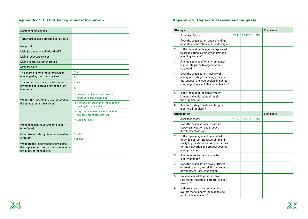### <span id="page-12-0"></span>Appendix 1. List of background information Appendix 2. Capacity assessment template

| Number of employees                                                                                           |                                                                     |
|---------------------------------------------------------------------------------------------------------------|---------------------------------------------------------------------|
| Turnover/business growth (last 5 years)                                                                       |                                                                     |
| Net profit                                                                                                    |                                                                     |
| Main (economic) activities (NACE)                                                                             |                                                                     |
| Main products/services                                                                                        |                                                                     |
| Main clients/customer groups                                                                                  |                                                                     |
| Main markets                                                                                                  |                                                                     |
| The share of own products/services                                                                            | <b>None</b>                                                         |
| (developed by the company itself)                                                                             | $\frac{0}{n}$                                                       |
| The proportion/share of new products                                                                          | <b>None</b>                                                         |
| developed or improved during the last<br>five years                                                           | $\frac{9}{6}$                                                       |
| What is the uncertainty level related to                                                                      | o Low (use of known and proven<br>approaches/technologies)          |
| designed products/services?                                                                                   | o Average (integration of innovations<br>leading to some unknowns)  |
|                                                                                                               | o High (very innovative and creative<br>projects/products/services) |
|                                                                                                               | • Does not apply                                                    |
| Product design/development budget<br>(euro/year)                                                              |                                                                     |
| Usual size of a design team assigned to                                                                       | No one                                                              |
| a Project                                                                                                     | <b>Number</b>                                                       |
| What are the important past problems<br>the organisation has had with customers,<br>products, personnel, etc? |                                                                     |

|                | <b>Strategy</b>                                                                                                                                                              |            |               |    | <b>Comments</b> |
|----------------|------------------------------------------------------------------------------------------------------------------------------------------------------------------------------|------------|---------------|----|-----------------|
|                | Assessed factor                                                                                                                                                              | <b>YES</b> | <b>PARTLY</b> | N0 |                 |
| $\mathbf{1}$   | Does the organisation understand the<br>benefits of innovation and (eco)design?                                                                                              |            |               |    |                 |
| $\overline{2}$ | Is the innovation/design incorporated<br>to organisation's startegy or strategic<br>planning process?                                                                        |            |               |    |                 |
| 3              | Are the sustainability/environmental<br>issues integrated to organisation's<br>strategy?                                                                                     |            |               |    |                 |
| 4              | Does the organisation have a well-<br>managed strategic planning process<br>that support the (eco)design (including<br>clear objectives and planned activites)?              |            |               |    |                 |
| 5              | Is the innovation/design strategy<br>known and understood through<br>the organisation?                                                                                       |            |               |    |                 |
| 6              | Are the strategic coals and targets<br>monitored regularly?                                                                                                                  |            |               |    |                 |
|                | <b>Organisation</b>                                                                                                                                                          |            |               |    | Comments        |
|                | Assessed factor                                                                                                                                                              | <b>YES</b> | <b>PARTLY</b> | N0 |                 |
| 1              | Does the organisational structure<br>support innovation and product<br>development/design?                                                                                   |            |               |    |                 |
| $\overline{2}$ | Is the top management committed<br>(provide appropriate leadership) and<br>ready to provide neccessary resources<br>for the innovation and product develop-<br>ment process? |            |               |    |                 |
| 3              | Are the roles and responsibilities<br>clearly defined?                                                                                                                       |            |               |    |                 |
| 4              | Does the organisation have sufficent<br>internal capacity and skills for product<br>development (incl. ecodesign)?                                                           |            |               |    |                 |
| 5              | Do people work together in mixed<br>role teams (practice to create 'project<br>teams')?                                                                                      |            |               |    |                 |
| 6              | Is there a reward and recognition<br>system that supports innovation and<br>product development?                                                                             |            |               |    |                 |



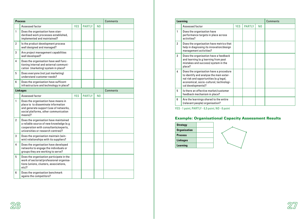|              | <b>Process</b>                                                                                                                                                           |            |               |                | <b>Comments</b> |
|--------------|--------------------------------------------------------------------------------------------------------------------------------------------------------------------------|------------|---------------|----------------|-----------------|
|              | Assessed factor                                                                                                                                                          | <b>YES</b> | <b>PARTLY</b> | N <sub>0</sub> |                 |
| $\mathbf{1}$ | Does the organisation have stan-<br>dardised work processes established,<br>implemented and maintained?                                                                  |            |               |                |                 |
| 2            | Is the product development process<br>well designed and managed?                                                                                                         |            |               |                |                 |
| 3            | Are project management capabilities<br>well developed?                                                                                                                   |            |               |                |                 |
| 4            | Does the organisation have well func-<br>tioning internal and external communi-<br>cation (marketing) system in place?                                                   |            |               |                |                 |
| 5            | Does everyone (not just marketing)<br>understand customer needs?                                                                                                         |            |               |                |                 |
| 6            | Does the organisation have sufficent<br>infrastructure and technology in place?                                                                                          |            |               |                |                 |
|              | <b>Linkages</b>                                                                                                                                                          |            |               |                | <b>Comments</b> |
|              | Assessed factor                                                                                                                                                          | <b>YES</b> | <b>PARTLY</b> | N <sub>0</sub> |                 |
| $\mathbf{1}$ | Does the organisation have means in<br>place to to disseminate information<br>and generate support (use of networks,<br>social platforms, other communication<br>means)? |            |               |                |                 |
| $\mathbf{2}$ | Does the organisation have maintained<br>a reliable source of new knowledge (e.g<br>cooperation with consultants/experts,<br>universities or research centres)?          |            |               |                |                 |
| 3            | Does the organisation maintain (win-<br>win) relationships with its suppliers?                                                                                           |            |               |                |                 |
| 4            | Does the organisation have developed<br>networks to engage the individuals or<br>groups they are working to serve?                                                       |            |               |                |                 |
| 5            | Does the organisation participate in the<br>work of sectorial/professional organisa-<br>tions (unions, clusters, associations,<br>etc)?                                  |            |               |                |                 |
| 6            | Does the organisation benchmark<br>agains the competitors?                                                                                                               |            |               |                |                 |

|                | Learning                                                                                                                                                                                     | <b>Comments</b> |               |                |  |
|----------------|----------------------------------------------------------------------------------------------------------------------------------------------------------------------------------------------|-----------------|---------------|----------------|--|
|                | Assessed factor                                                                                                                                                                              | <b>YES</b>      | <b>PARTLY</b> | N <sub>0</sub> |  |
| 1              | Does the organisation have<br>performance targets in place across<br>activities?                                                                                                             |                 |               |                |  |
| $\overline{2}$ | Does the organisation have metrics that<br>help in diagnosing its innovation/design<br>management activities?                                                                                |                 |               |                |  |
| 3              | Does the organisation have a feedback<br>and learning (e.g learning from past<br>mistakes and success) system in the<br>place?                                                               |                 |               |                |  |
| 4              | Does the organisation have a procedure<br>to identify and analyse the main exter-<br>nal risk and opportunities (e.g legal,<br>economical, socio-cultural, technologi-<br>cal developments)? |                 |               |                |  |
| 5              | Is there an effective market/customer<br>feedback mechanism in place?                                                                                                                        |                 |               |                |  |
| 6              | Are the learnings shared to the entire<br>(relevant people) organisation?                                                                                                                    |                 |               |                |  |

YES - 1 point; PARTLY - 0,5 point; NO - 0 point

### Example: Organisational Capacity Assessment Results

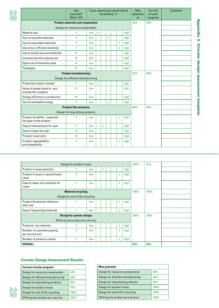<span id="page-14-0"></span>

|                                                           | Has<br>potential?<br>Mark: Y/N     | If yes, assess your performance<br>by marking "x" |              |              |   |  |              |      | <b>Max</b><br>potential<br>at | Current<br>circular<br>progress | <b>Comment</b> |
|-----------------------------------------------------------|------------------------------------|---------------------------------------------------|--------------|--------------|---|--|--------------|------|-------------------------------|---------------------------------|----------------|
| 50%<br><b>Product materials and composition</b>           |                                    |                                                   |              |              |   |  |              |      |                               | 44%                             |                |
| Design for resource conservation                          |                                    |                                                   |              |              |   |  |              |      |                               |                                 |                |
| Material use                                              | Y                                  | low                                               | $\mathbf{x}$ |              |   |  |              | high |                               |                                 |                |
| Use of recycled materials                                 | Y                                  | low                                               |              |              | X |  |              | high |                               |                                 |                |
| Use of recyclable materials                               | Y                                  | low                                               |              |              |   |  | $\mathbf{x}$ | high |                               |                                 |                |
| Use of eco-efficient materials                            | Y                                  | low                                               |              |              |   |  | $\mathbf{x}$ | high |                               |                                 |                |
| Use of locally sourced materials                          | N                                  | low                                               |              |              |   |  |              | high |                               |                                 |                |
| Contains harmful substances                               | N                                  | low                                               |              |              |   |  |              | high |                               |                                 |                |
| Spectrum of materials used                                | N                                  | low                                               |              |              |   |  |              | high |                               |                                 |                |
| Packaging                                                 | N                                  | low                                               |              |              |   |  |              | high |                               |                                 |                |
| <b>Product manufacturing</b>                              |                                    |                                                   |              |              |   |  |              | 50%  | 38%                           |                                 |                |
|                                                           | Design for efficient manufacturing |                                                   |              |              |   |  |              |      |                               |                                 |                |
| Production waste created                                  | Y                                  | low                                               | $\mathbf{x}$ |              |   |  |              | high |                               |                                 |                |
| Value of waste found in- and<br>outside the company       | N                                  | low                                               |              |              |   |  |              | high |                               |                                 |                |
| Energy efficiency in production                           | N                                  | low                                               |              |              |   |  |              | high |                               |                                 |                |
| Use of renewable energy                                   | Y                                  | low                                               |              |              | x |  |              | high |                               |                                 |                |
|                                                           | <b>Product life extension</b>      |                                                   |              |              |   |  |              |      | 60%                           | 45%                             |                |
|                                                           | Design for long lasting products   |                                                   |              |              |   |  |              |      |                               |                                 |                |
| Product durability - expected<br>life span of the product | γ                                  | low                                               |              |              |   |  | X            | high |                               |                                 |                |
| Ease of maintenance for user                              | Y                                  | low                                               |              | $\mathbf{x}$ |   |  |              | high |                               |                                 |                |
| Ease of repair for user                                   | N                                  | low                                               |              |              |   |  |              | high |                               |                                 |                |
| Product's warranty                                        | N                                  | low                                               |              |              |   |  |              | high |                               |                                 |                |
| Product upgradability<br>and adaptability                 | Y                                  | low                                               |              |              |   |  | X            | high |                               |                                 |                |

Appendix 3. Circular design assessment template

Appendix 3. Circular design assessment template

| Design for product reuse                       | 100%                              | 75% |  |   |  |  |   |      |      |      |  |
|------------------------------------------------|-----------------------------------|-----|--|---|--|--|---|------|------|------|--|
| Product's reuse potential                      | ٧                                 | low |  | X |  |  |   | high |      |      |  |
| Product's reuse or second hand<br>retail       | Y                                 | low |  |   |  |  | x | high |      |      |  |
| Ease of repair and refurbish for<br>reuse      | Y                                 | low |  |   |  |  | x | high |      |      |  |
| <b>Material recycling</b>                      |                                   |     |  |   |  |  |   | 100% | 100% |      |  |
| Design for end of life recycling               |                                   |     |  |   |  |  |   |      |      |      |  |
| Product & material collection<br>after use     | γ                                 | low |  |   |  |  | x | high |      |      |  |
| Ease of separating materials                   | Y                                 | low |  |   |  |  | x | high |      |      |  |
| Design for system change                       |                                   |     |  |   |  |  |   |      | 100% | 100% |  |
|                                                | Offering the product as a service |     |  |   |  |  |   |      |      |      |  |
| Products' use intensity                        | γ                                 | low |  |   |  |  | X | high |      |      |  |
| Number of customers paying<br>per service unit | Y                                 | low |  |   |  |  | x | high |      |      |  |
| Number of products rented                      | γ                                 | low |  |   |  |  | x | high |      |      |  |
| <b>OVERALL</b>                                 |                                   |     |  |   |  |  |   |      | 68%  | 58%  |  |

### **Circular Design Assessment Results**

| <b>Current circular progress</b>   |      |  |  |  |  |
|------------------------------------|------|--|--|--|--|
| Design for resource conservation   | 44%  |  |  |  |  |
| Design for efficient manufacturing | 38%  |  |  |  |  |
| Design for long lasting products   | 45%  |  |  |  |  |
| Design for product reuse           | 75%  |  |  |  |  |
| Design for end of life recycling   | 100% |  |  |  |  |
| Offering the product as a service  | 100% |  |  |  |  |

| <b>Max potential</b>               |      |
|------------------------------------|------|
| Design for resource conservation   | 50%  |
| Design for efficient manufacturing | 50%  |
| Design for long lasting products   | 60%  |
| Design for product reuse           | 100% |
| Design for end of life recycling   | 100% |
| Offering the product as a service  | 100% |